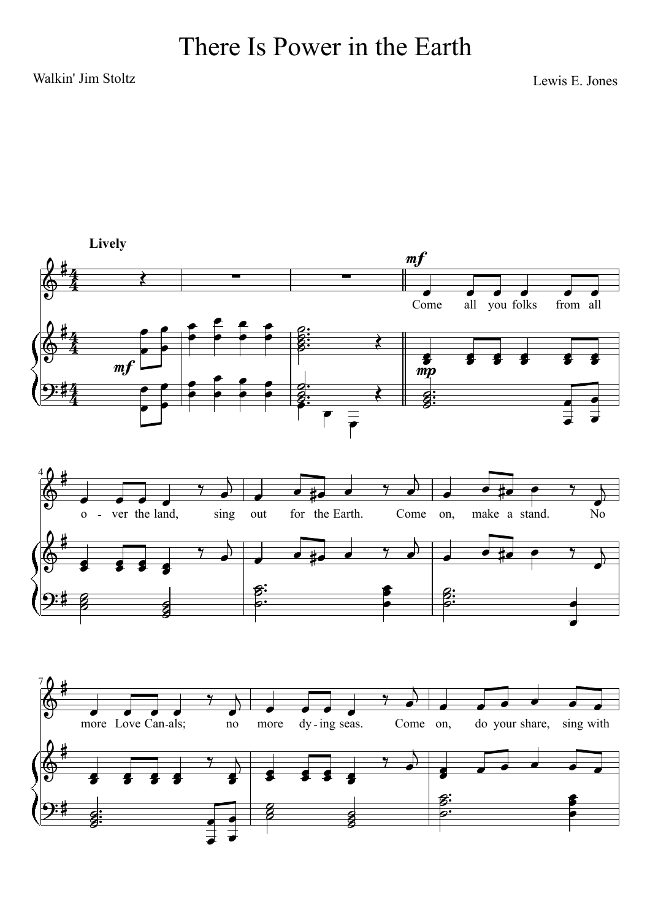## Walkin' Jim Stoltz Lewis E. Jones

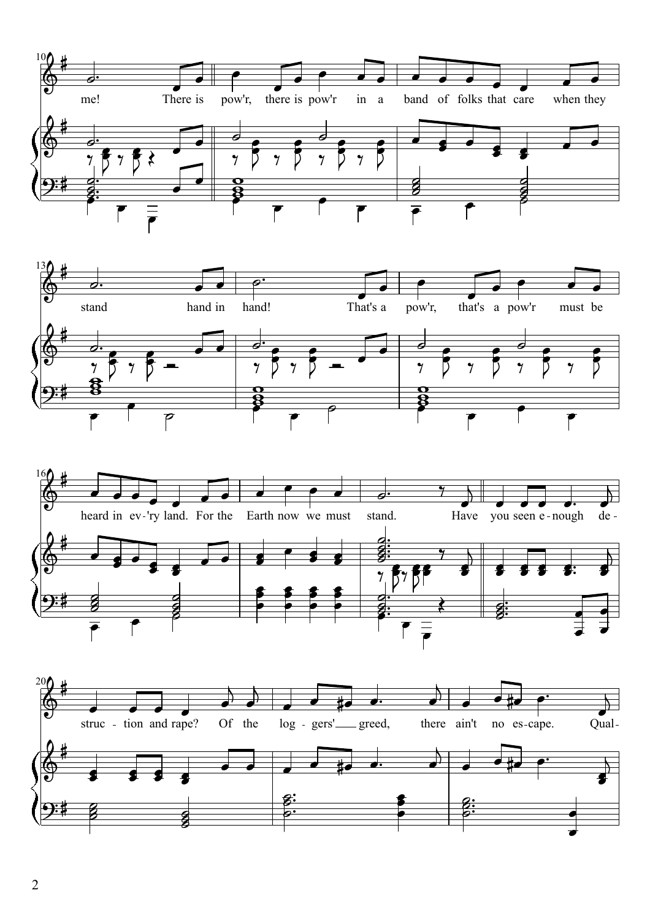





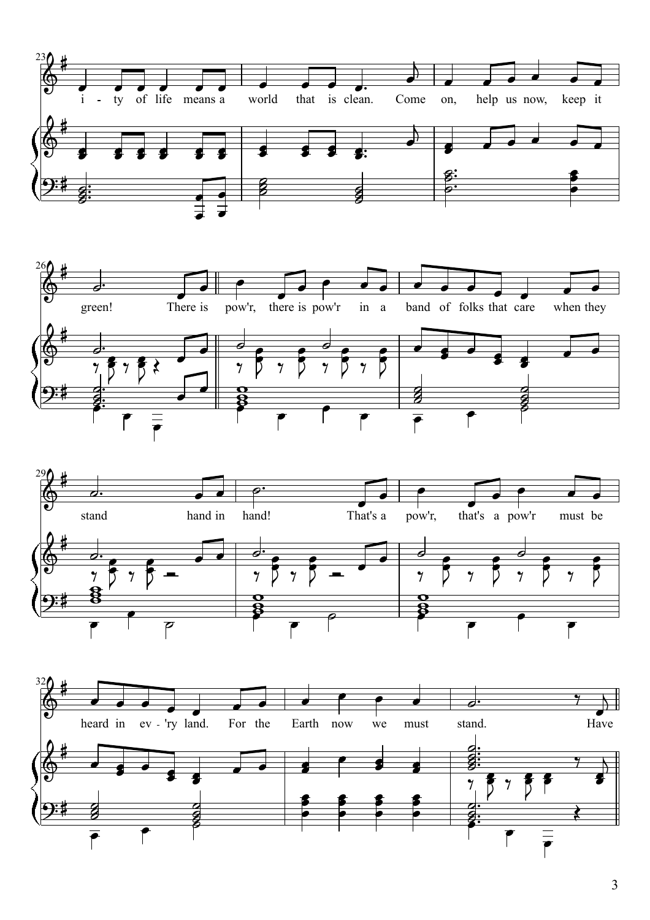





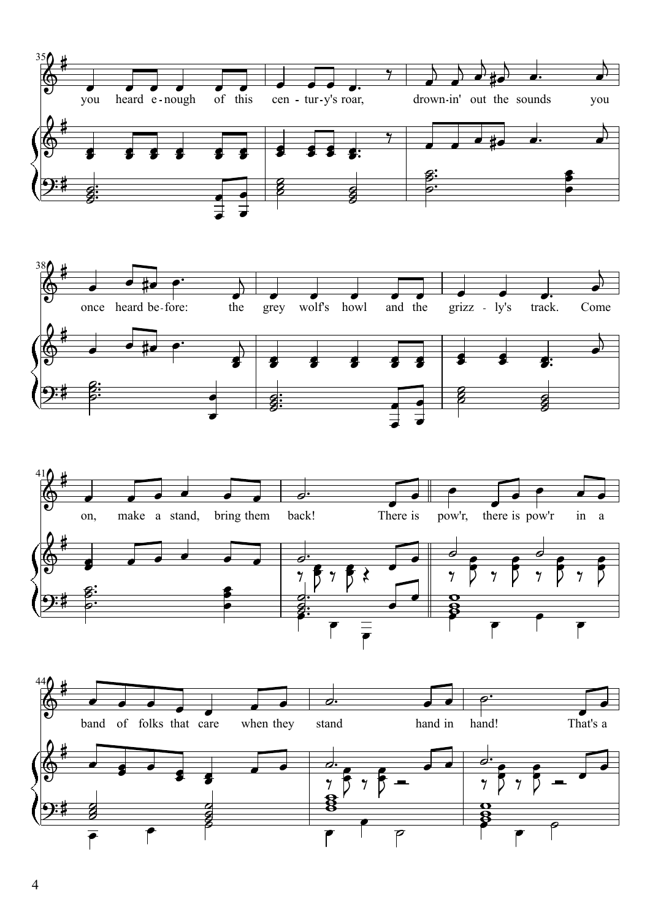





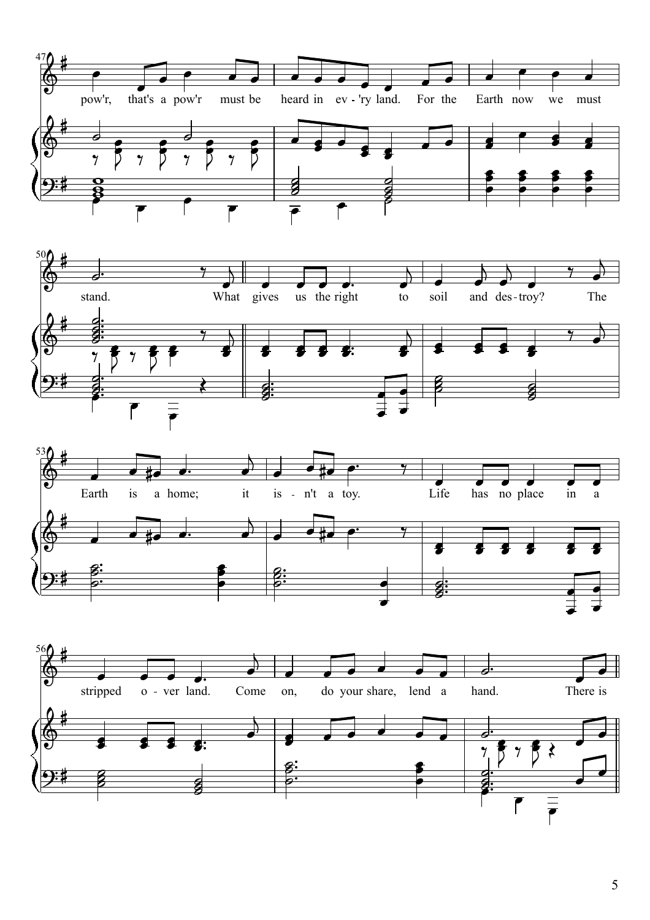